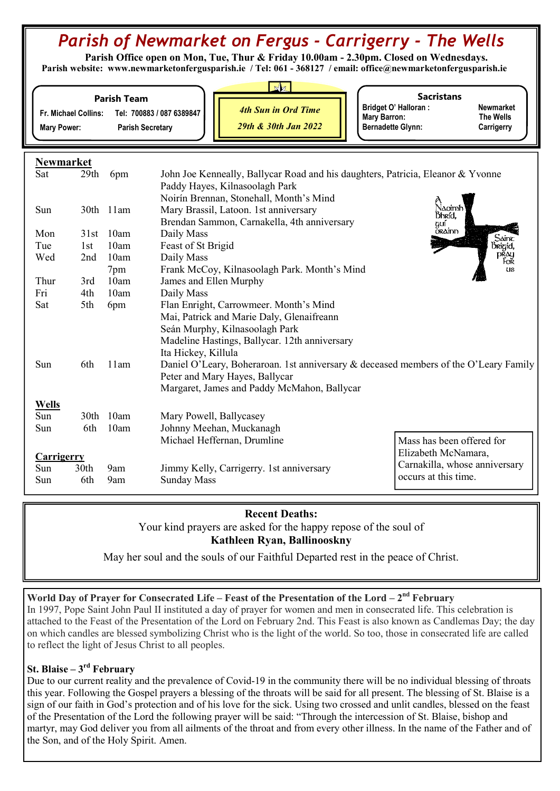# Parish of Newmarket on Fergus - Carrigerry - The Wells

 Parish Office open on Mon, Tue, Thur & Friday 10.00am - 2.30pm. Closed on Wednesdays. Parish website: www.newmarketonfergusparish.ie / Tel: 061 - 368127 / email: office@newmarketonfergusparish.ie

| <b>Parish Team</b> |  |
|--------------------|--|
|                    |  |

Fr. Michael Collins: Tel: 700883 / 087 6389847 Mary Power: Parish Secretary

4th Sun in Ord Time 29th & 30th Jan 2022

**Sacristans** Bridget O' Halloran : Newmarket<br>
Mary Barron: The Wells Mary Barron: Bernadette Glynn: Carrigerry

| <b>Newmarket</b> |                  |           |                                                                                      |                               |
|------------------|------------------|-----------|--------------------------------------------------------------------------------------|-------------------------------|
| Sat              | 29 <sub>th</sub> | 6pm       | John Joe Kenneally, Ballycar Road and his daughters, Patricia, Eleanor & Yvonne      |                               |
|                  |                  |           | Paddy Hayes, Kilnasoolagh Park                                                       |                               |
|                  |                  |           | Noirín Brennan, Stonehall, Month's Mind                                              |                               |
| Sun              |                  | 30th 11am | Mary Brassil, Latoon. 1st anniversary                                                | Naoimh<br>Bhríd.              |
|                  |                  |           | Brendan Sammon, Carnakella, 4th anniversary                                          | guí                           |
| Mon              | 31st             | 10am      | Daily Mass                                                                           | <b>ORAINN</b>                 |
| Tue              | 1st              | 10am      | Feast of St Brigid                                                                   | Sainc<br>Brigid,              |
| Wed              | 2nd              | 10am      | Daily Mass                                                                           | přay<br>For                   |
|                  |                  | 7pm       | Frank McCoy, Kilnasoolagh Park. Month's Mind                                         | US                            |
| Thur             | 3rd              | 10am      | James and Ellen Murphy                                                               |                               |
| Fri              | 4th              | 10am      | Daily Mass                                                                           |                               |
| Sat              | 5th              | 6pm       | Flan Enright, Carrowmeer. Month's Mind                                               |                               |
|                  |                  |           | Mai, Patrick and Marie Daly, Glenaifreann                                            |                               |
|                  |                  |           | Seán Murphy, Kilnasoolagh Park                                                       |                               |
|                  |                  |           | Madeline Hastings, Ballycar. 12th anniversary                                        |                               |
|                  |                  |           | Ita Hickey, Killula                                                                  |                               |
| Sun              | 6th              | 11am      | Daniel O'Leary, Boheraroan. 1st anniversary & deceased members of the O'Leary Family |                               |
|                  |                  |           | Peter and Mary Hayes, Ballycar                                                       |                               |
|                  |                  |           | Margaret, James and Paddy McMahon, Ballycar                                          |                               |
| <b>Wells</b>     |                  |           |                                                                                      |                               |
| Sun              |                  | 30th 10am | Mary Powell, Ballycasey                                                              |                               |
| Sun              | 6th              | 10am      | Johnny Meehan, Muckanagh                                                             |                               |
|                  |                  |           | Michael Heffernan, Drumline                                                          | Mass has been offered for     |
| Carrigerry       |                  |           |                                                                                      | Elizabeth McNamara,           |
| Sun              | 30 <sub>th</sub> | 9am       | Jimmy Kelly, Carrigerry. 1st anniversary                                             | Carnakilla, whose anniversary |
| Sun              | 6th              | 9am       | <b>Sunday Mass</b>                                                                   | occurs at this time.          |
|                  |                  |           |                                                                                      |                               |

# Recent Deaths: Your kind prayers are asked for the happy repose of the soul of Kathleen Ryan, Ballinooskny

May her soul and the souls of our Faithful Departed rest in the peace of Christ.

World Day of Prayer for Consecrated Life – Feast of the Presentation of the Lord –  $2<sup>nd</sup>$  February

In 1997, Pope Saint John Paul II instituted a day of prayer for women and men in consecrated life. This celebration is attached to the Feast of the Presentation of the Lord on February 2nd. This Feast is also known as Candlemas Day; the day on which candles are blessed symbolizing Christ who is the light of the world. So too, those in consecrated life are called to reflect the light of Jesus Christ to all peoples.

## St. Blaise  $-3<sup>rd</sup>$  February

Due to our current reality and the prevalence of Covid-19 in the community there will be no individual blessing of throats this year. Following the Gospel prayers a blessing of the throats will be said for all present. The blessing of St. Blaise is a sign of our faith in God's protection and of his love for the sick. Using two crossed and unlit candles, blessed on the feast of the Presentation of the Lord the following prayer will be said: "Through the intercession of St. Blaise, bishop and martyr, may God deliver you from all ailments of the throat and from every other illness. In the name of the Father and of the Son, and of the Holy Spirit. Amen.